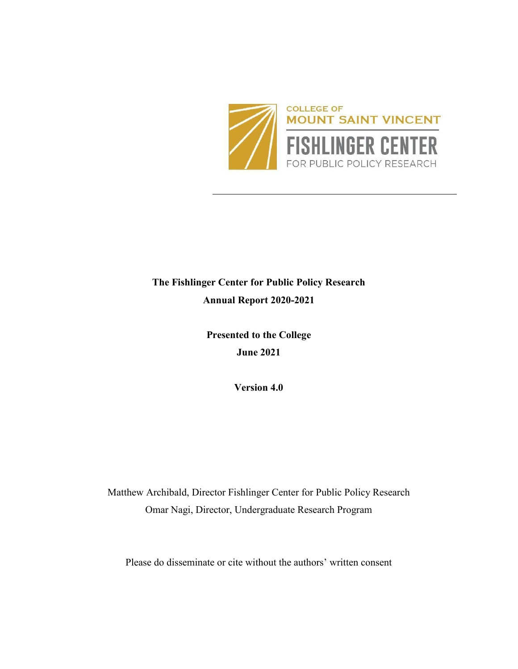

# **The Fishlinger Center for Public Policy Research Annual Report 2020-2021**

**Presented to the College June 2021**

**Version 4.0**

Matthew Archibald, Director Fishlinger Center for Public Policy Research Omar Nagi, Director, Undergraduate Research Program

Please do disseminate or cite without the authors' written consent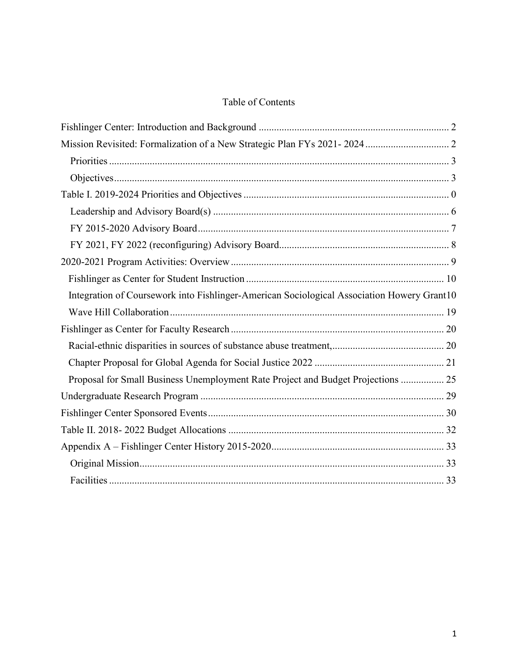# Table of Contents

| Integration of Coursework into Fishlinger-American Sociological Association Howery Grant10 |  |
|--------------------------------------------------------------------------------------------|--|
|                                                                                            |  |
|                                                                                            |  |
|                                                                                            |  |
|                                                                                            |  |
| Proposal for Small Business Unemployment Rate Project and Budget Projections  25           |  |
|                                                                                            |  |
|                                                                                            |  |
|                                                                                            |  |
|                                                                                            |  |
|                                                                                            |  |
|                                                                                            |  |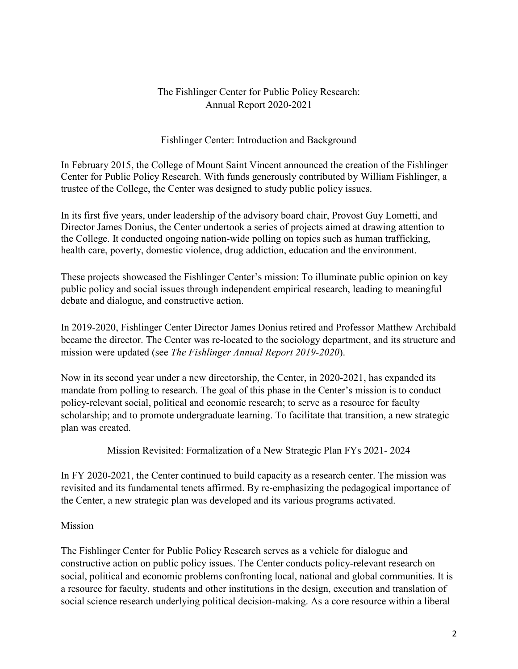### The Fishlinger Center for Public Policy Research: Annual Report 2020-2021

### Fishlinger Center: Introduction and Background

<span id="page-2-0"></span>In February 2015, the College of Mount Saint Vincent announced the creation of the Fishlinger Center for Public Policy Research. With funds generously contributed by William Fishlinger, a trustee of the College, the Center was designed to study public policy issues.

In its first five years, under leadership of the advisory board chair, Provost Guy Lometti, and Director James Donius, the Center undertook a series of projects aimed at drawing attention to the College. It conducted ongoing nation-wide polling on topics such as human trafficking, health care, poverty, domestic violence, drug addiction, education and the environment.

These projects showcased the Fishlinger Center's mission: To illuminate public opinion on key public policy and social issues through independent empirical research, leading to meaningful debate and dialogue, and constructive action.

In 2019-2020, Fishlinger Center Director James Donius retired and Professor Matthew Archibald became the director. The Center was re-located to the sociology department, and its structure and mission were updated (see *The Fishlinger Annual Report 2019-2020*).

Now in its second year under a new directorship, the Center, in 2020-2021, has expanded its mandate from polling to research. The goal of this phase in the Center's mission is to conduct policy-relevant social, political and economic research; to serve as a resource for faculty scholarship; and to promote undergraduate learning. To facilitate that transition, a new strategic plan was created.

Mission Revisited: Formalization of a New Strategic Plan FYs 2021- 2024

<span id="page-2-1"></span>In FY 2020-2021, the Center continued to build capacity as a research center. The mission was revisited and its fundamental tenets affirmed. By re-emphasizing the pedagogical importance of the Center, a new strategic plan was developed and its various programs activated.

### Mission

The Fishlinger Center for Public Policy Research serves as a vehicle for dialogue and constructive action on public policy issues. The Center conducts policy-relevant research on social, political and economic problems confronting local, national and global communities. It is a resource for faculty, students and other institutions in the design, execution and translation of social science research underlying political decision-making. As a core resource within a liberal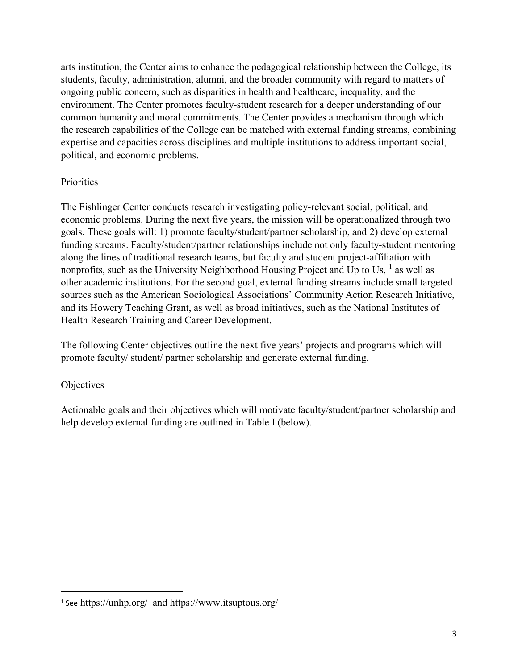arts institution, the Center aims to enhance the pedagogical relationship between the College, its students, faculty, administration, alumni, and the broader community with regard to matters of ongoing public concern, such as disparities in health and healthcare, inequality, and the environment. The Center promotes faculty-student research for a deeper understanding of our common humanity and moral commitments. The Center provides a mechanism through which the research capabilities of the College can be matched with external funding streams, combining expertise and capacities across disciplines and multiple institutions to address important social, political, and economic problems.

### <span id="page-3-0"></span>**Priorities**

The Fishlinger Center conducts research investigating policy-relevant social, political, and economic problems. During the next five years, the mission will be operationalized through two goals. These goals will: 1) promote faculty/student/partner scholarship, and 2) develop external funding streams. Faculty/student/partner relationships include not only faculty-student mentoring along the lines of traditional research teams, but faculty and student project-affiliation with nonprofits, such as the University Neighborhood Housing Project and Up to Us,  $<sup>1</sup>$  $<sup>1</sup>$  $<sup>1</sup>$  as well as</sup> other academic institutions. For the second goal, external funding streams include small targeted sources such as the American Sociological Associations' Community Action Research Initiative, and its Howery Teaching Grant, as well as broad initiatives, such as the National Institutes of Health Research Training and Career Development.

The following Center objectives outline the next five years' projects and programs which will promote faculty/ student/ partner scholarship and generate external funding.

#### <span id="page-3-1"></span>**Objectives**

Actionable goals and their objectives which will motivate faculty/student/partner scholarship and help develop external funding are outlined in Table I (below).

<span id="page-3-2"></span> <sup>1</sup> See https://unhp.org/ and https://www.itsuptous.org/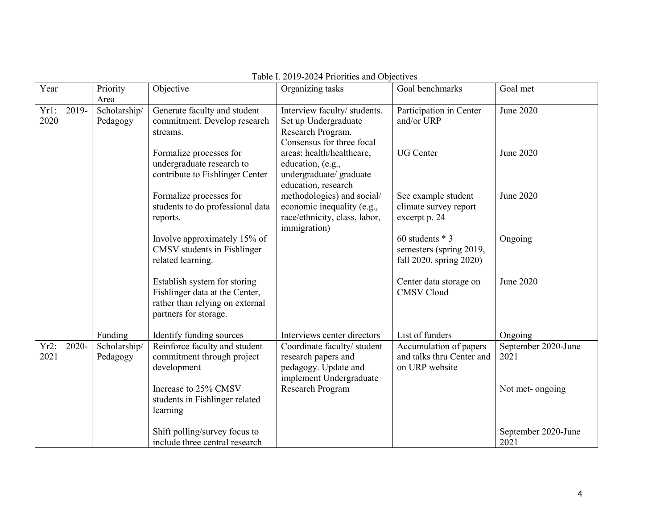<span id="page-4-0"></span>

| Year         |          | Priority                | Objective                                                    | Organizing tasks                              | Goal benchmarks                       | Goal met            |
|--------------|----------|-------------------------|--------------------------------------------------------------|-----------------------------------------------|---------------------------------------|---------------------|
|              |          | Area                    |                                                              |                                               |                                       |                     |
| Yr1:<br>2020 | 2019-    | Scholarship/            | Generate faculty and student<br>commitment. Develop research | Interview faculty/ students.                  | Participation in Center<br>and/or URP | June 2020           |
|              |          | Pedagogy                | streams.                                                     | Set up Undergraduate<br>Research Program.     |                                       |                     |
|              |          |                         |                                                              | Consensus for three focal                     |                                       |                     |
|              |          |                         | Formalize processes for                                      | areas: health/healthcare,                     | <b>UG</b> Center                      | June 2020           |
|              |          |                         | undergraduate research to                                    | education, (e.g.,                             |                                       |                     |
|              |          |                         | contribute to Fishlinger Center                              | undergraduate/ graduate                       |                                       |                     |
|              |          |                         |                                                              | education, research                           |                                       |                     |
|              |          | Formalize processes for |                                                              | methodologies) and social/                    | See example student                   | June 2020           |
|              |          |                         | students to do professional data                             | economic inequality (e.g.,                    | climate survey report                 |                     |
|              |          |                         | reports.                                                     | race/ethnicity, class, labor,<br>immigration) | excerpt p. 24                         |                     |
|              |          |                         | Involve approximately 15% of                                 |                                               | 60 students $*$ 3                     | Ongoing             |
|              |          |                         | CMSV students in Fishlinger                                  |                                               | semesters (spring 2019,               |                     |
|              |          |                         | related learning.                                            |                                               | fall 2020, spring 2020)               |                     |
|              |          |                         |                                                              |                                               |                                       |                     |
|              |          |                         | Establish system for storing                                 |                                               | Center data storage on                | June 2020           |
|              |          |                         | Fishlinger data at the Center,                               |                                               | <b>CMSV Cloud</b>                     |                     |
|              |          |                         | rather than relying on external<br>partners for storage.     |                                               |                                       |                     |
|              |          |                         |                                                              |                                               |                                       |                     |
|              |          | Funding                 | Identify funding sources                                     | Interviews center directors                   | List of funders                       | Ongoing             |
| $Yr2$ :      | $2020 -$ | Scholarship/            | Reinforce faculty and student                                | Coordinate faculty/ student                   | Accumulation of papers                | September 2020-June |
| 2021         |          | Pedagogy                | commitment through project                                   | research papers and                           | and talks thru Center and             | 2021                |
|              |          |                         | development                                                  | pedagogy. Update and                          | on URP website                        |                     |
|              |          |                         |                                                              | implement Undergraduate                       |                                       |                     |
|              |          |                         | Increase to 25% CMSV<br>students in Fishlinger related       | Research Program                              |                                       | Not met-ongoing     |
|              |          |                         | learning                                                     |                                               |                                       |                     |
|              |          |                         |                                                              |                                               |                                       |                     |
|              |          |                         | Shift polling/survey focus to                                |                                               |                                       | September 2020-June |
|              |          |                         | include three central research                               |                                               |                                       | 2021                |

#### Table I. 2019-2024 Priorities and Objectives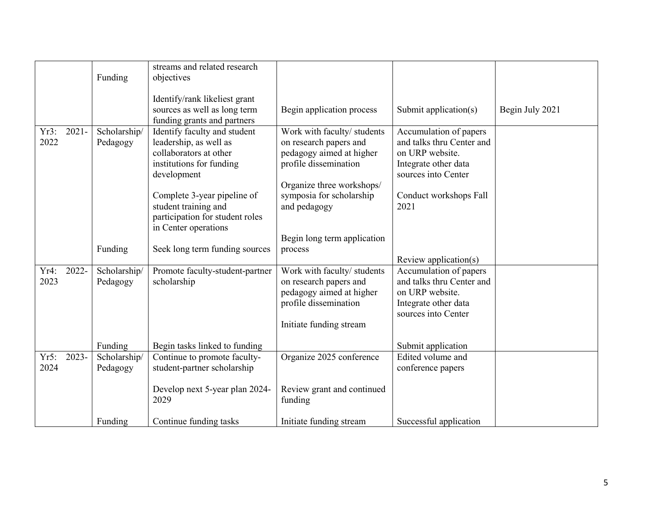|              |          | Funding                  | streams and related research<br>objectives                                                                                                                                                                            |                                                                                                                                                                                     |                                                                                                                                                         |                 |
|--------------|----------|--------------------------|-----------------------------------------------------------------------------------------------------------------------------------------------------------------------------------------------------------------------|-------------------------------------------------------------------------------------------------------------------------------------------------------------------------------------|---------------------------------------------------------------------------------------------------------------------------------------------------------|-----------------|
|              |          |                          | Identify/rank likeliest grant<br>sources as well as long term<br>funding grants and partners                                                                                                                          | Begin application process                                                                                                                                                           | Submit application(s)                                                                                                                                   | Begin July 2021 |
| Yr3:<br>2022 | $2021 -$ | Scholarship/<br>Pedagogy | Identify faculty and student<br>leadership, as well as<br>collaborators at other<br>institutions for funding<br>development<br>Complete 3-year pipeline of<br>student training and<br>participation for student roles | Work with faculty/ students<br>on research papers and<br>pedagogy aimed at higher<br>profile dissemination<br>Organize three workshops/<br>symposia for scholarship<br>and pedagogy | Accumulation of papers<br>and talks thru Center and<br>on URP website.<br>Integrate other data<br>sources into Center<br>Conduct workshops Fall<br>2021 |                 |
|              |          |                          | in Center operations                                                                                                                                                                                                  | Begin long term application                                                                                                                                                         |                                                                                                                                                         |                 |
|              |          | Funding                  | Seek long term funding sources                                                                                                                                                                                        | process                                                                                                                                                                             |                                                                                                                                                         |                 |
| Yr4:<br>2023 | 2022-    | Scholarship/<br>Pedagogy | Promote faculty-student-partner<br>scholarship                                                                                                                                                                        | Work with faculty/ students<br>on research papers and<br>pedagogy aimed at higher<br>profile dissemination<br>Initiate funding stream                                               | Review application(s)<br>Accumulation of papers<br>and talks thru Center and<br>on URP website.<br>Integrate other data<br>sources into Center          |                 |
|              |          | Funding                  | Begin tasks linked to funding                                                                                                                                                                                         |                                                                                                                                                                                     | Submit application                                                                                                                                      |                 |
| Yr5:<br>2024 | 2023-    | Scholarship/<br>Pedagogy | Continue to promote faculty-<br>student-partner scholarship                                                                                                                                                           | Organize 2025 conference                                                                                                                                                            | Edited volume and<br>conference papers                                                                                                                  |                 |
|              |          |                          | Develop next 5-year plan 2024-<br>2029                                                                                                                                                                                | Review grant and continued<br>funding                                                                                                                                               |                                                                                                                                                         |                 |
|              |          | Funding                  | Continue funding tasks                                                                                                                                                                                                | Initiate funding stream                                                                                                                                                             | Successful application                                                                                                                                  |                 |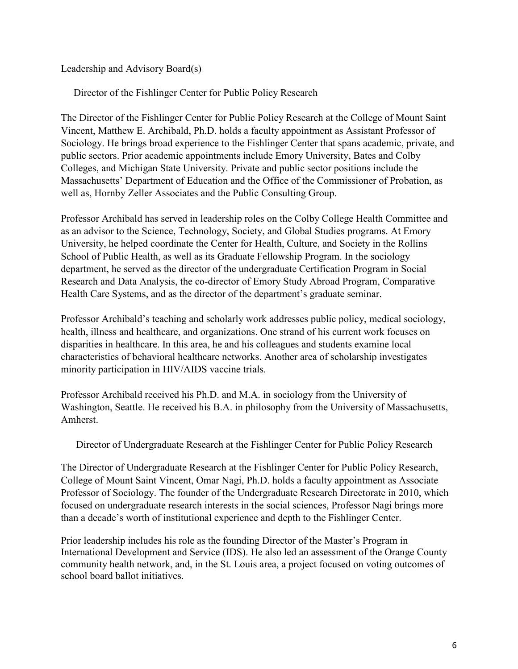<span id="page-6-0"></span>Leadership and Advisory Board(s)

Director of the Fishlinger Center for Public Policy Research

The Director of the Fishlinger Center for Public Policy Research at the College of Mount Saint Vincent, Matthew E. Archibald, Ph.D. holds a faculty appointment as Assistant Professor of Sociology. He brings broad experience to the Fishlinger Center that spans academic, private, and public sectors. Prior academic appointments include Emory University, Bates and Colby Colleges, and Michigan State University. Private and public sector positions include the Massachusetts' Department of Education and the Office of the Commissioner of Probation, as well as, Hornby Zeller Associates and the Public Consulting Group.

Professor Archibald has served in leadership roles on the Colby College Health Committee and as an advisor to the Science, Technology, Society, and Global Studies programs. At Emory University, he helped coordinate the Center for Health, Culture, and Society in the Rollins School of Public Health, as well as its Graduate Fellowship Program. In the sociology department, he served as the director of the undergraduate Certification Program in Social Research and Data Analysis, the co-director of Emory Study Abroad Program, Comparative Health Care Systems, and as the director of the department's graduate seminar.

Professor Archibald's teaching and scholarly work addresses public policy, medical sociology, health, illness and healthcare, and organizations. One strand of his current work focuses on disparities in healthcare. In this area, he and his colleagues and students examine local characteristics of behavioral healthcare networks. Another area of scholarship investigates minority participation in HIV/AIDS vaccine trials.

Professor Archibald received his Ph.D. and M.A. in sociology from the University of Washington, Seattle. He received his B.A. in philosophy from the University of Massachusetts, Amherst.

Director of Undergraduate Research at the Fishlinger Center for Public Policy Research

The Director of Undergraduate Research at the Fishlinger Center for Public Policy Research, College of Mount Saint Vincent, Omar Nagi, Ph.D. holds a faculty appointment as Associate Professor of Sociology. The founder of the Undergraduate Research Directorate in 2010, which focused on undergraduate research interests in the social sciences, Professor Nagi brings more than a decade's worth of institutional experience and depth to the Fishlinger Center.

Prior leadership includes his role as the founding Director of the Master's Program in International Development and Service (IDS). He also led an assessment of the Orange County community health network, and, in the St. Louis area, a project focused on voting outcomes of school board ballot initiatives.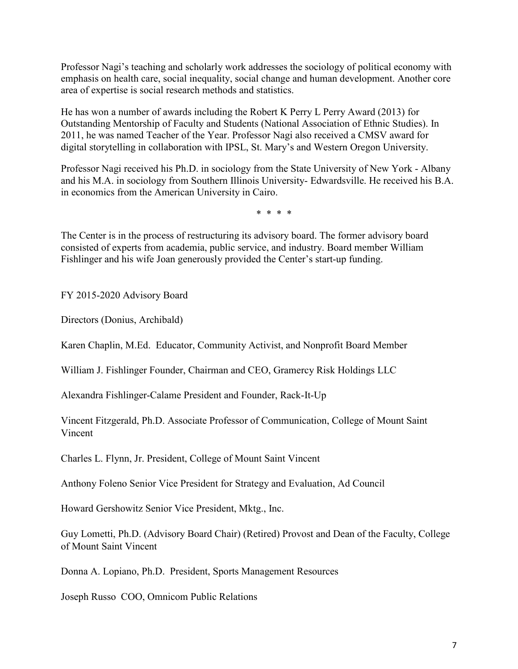Professor Nagi's teaching and scholarly work addresses the sociology of political economy with emphasis on health care, social inequality, social change and human development. Another core area of expertise is social research methods and statistics.

He has won a number of awards including the Robert K Perry L Perry Award (2013) for Outstanding Mentorship of Faculty and Students (National Association of Ethnic Studies). In 2011, he was named Teacher of the Year. Professor Nagi also received a CMSV award for digital storytelling in collaboration with IPSL, St. Mary's and Western Oregon University.

Professor Nagi received his Ph.D. in sociology from the State University of New York - Albany and his M.A. in sociology from Southern Illinois University- Edwardsville. He received his B.A. in economics from the American University in Cairo.

\* \* \* \*

The Center is in the process of restructuring its advisory board. The former advisory board consisted of experts from academia, public service, and industry. Board member William Fishlinger and his wife Joan generously provided the Center's start-up funding.

<span id="page-7-0"></span>FY 2015-2020 Advisory Board

Directors (Donius, Archibald)

Karen Chaplin, M.Ed. Educator, Community Activist, and Nonprofit Board Member

William J. Fishlinger Founder, Chairman and CEO, Gramercy Risk Holdings LLC

Alexandra Fishlinger-Calame President and Founder, Rack-It-Up

Vincent Fitzgerald, Ph.D. Associate Professor of Communication, College of Mount Saint Vincent

Charles L. Flynn, Jr. President, College of Mount Saint Vincent

Anthony Foleno Senior Vice President for Strategy and Evaluation, Ad Council

Howard Gershowitz Senior Vice President, Mktg., Inc.

Guy Lometti, Ph.D. (Advisory Board Chair) (Retired) Provost and Dean of the Faculty, College of Mount Saint Vincent

Donna A. Lopiano, Ph.D. President, Sports Management Resources

Joseph Russo COO, Omnicom Public Relations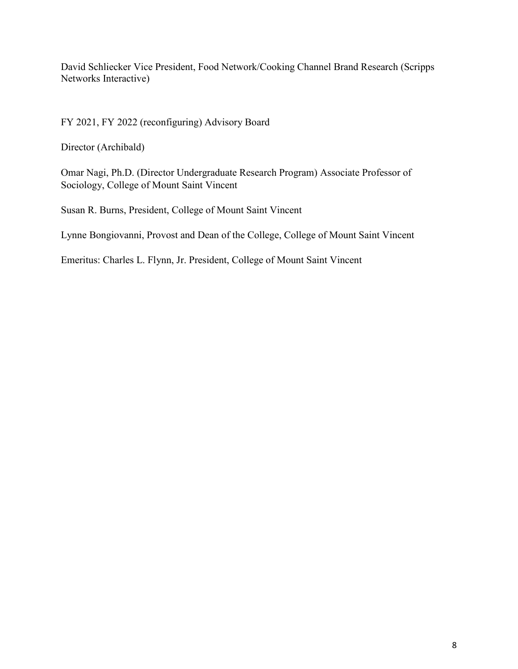David Schliecker Vice President, Food Network/Cooking Channel Brand Research (Scripps Networks Interactive)

<span id="page-8-0"></span>FY 2021, FY 2022 (reconfiguring) Advisory Board

Director (Archibald)

Omar Nagi, Ph.D. (Director Undergraduate Research Program) Associate Professor of Sociology, College of Mount Saint Vincent

Susan R. Burns, President, College of Mount Saint Vincent

Lynne Bongiovanni, Provost and Dean of the College, College of Mount Saint Vincent

Emeritus: Charles L. Flynn, Jr. President, College of Mount Saint Vincent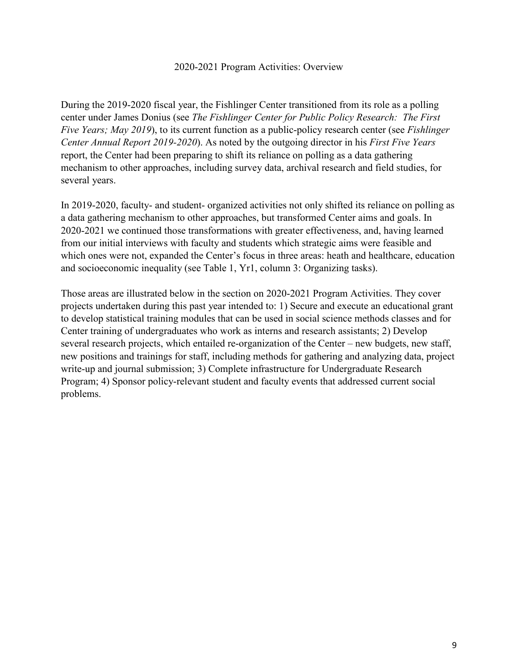#### 2020-2021 Program Activities: Overview

<span id="page-9-0"></span>During the 2019-2020 fiscal year, the Fishlinger Center transitioned from its role as a polling center under James Donius (see *The Fishlinger Center for Public Policy Research: The First Five Years; May 2019*), to its current function as a public-policy research center (see *Fishlinger Center Annual Report 2019-2020*). As noted by the outgoing director in his *First Five Years* report, the Center had been preparing to shift its reliance on polling as a data gathering mechanism to other approaches, including survey data, archival research and field studies, for several years.

In 2019-2020, faculty- and student- organized activities not only shifted its reliance on polling as a data gathering mechanism to other approaches, but transformed Center aims and goals. In 2020-2021 we continued those transformations with greater effectiveness, and, having learned from our initial interviews with faculty and students which strategic aims were feasible and which ones were not, expanded the Center's focus in three areas: heath and healthcare, education and socioeconomic inequality (see Table 1, Yr1, column 3: Organizing tasks).

Those areas are illustrated below in the section on 2020-2021 Program Activities. They cover projects undertaken during this past year intended to: 1) Secure and execute an educational grant to develop statistical training modules that can be used in social science methods classes and for Center training of undergraduates who work as interns and research assistants; 2) Develop several research projects, which entailed re-organization of the Center – new budgets, new staff, new positions and trainings for staff, including methods for gathering and analyzing data, project write-up and journal submission; 3) Complete infrastructure for Undergraduate Research Program; 4) Sponsor policy-relevant student and faculty events that addressed current social problems.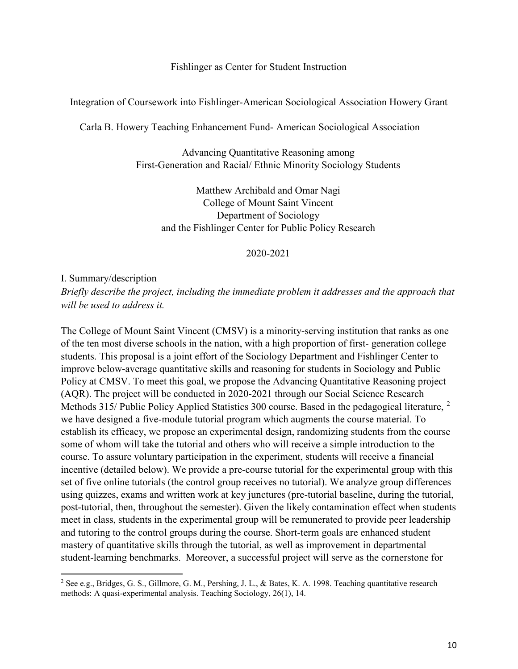Fishlinger as Center for Student Instruction

<span id="page-10-1"></span><span id="page-10-0"></span>Integration of Coursework into Fishlinger-American Sociological Association Howery Grant

Carla B. Howery Teaching Enhancement Fund- American Sociological Association

Advancing Quantitative Reasoning among First-Generation and Racial/ Ethnic Minority Sociology Students

Matthew Archibald and Omar Nagi College of Mount Saint Vincent Department of Sociology and the Fishlinger Center for Public Policy Research

2020-2021

I. Summary/description

l

*Briefly describe the project, including the immediate problem it addresses and the approach that will be used to address it.* 

The College of Mount Saint Vincent (CMSV) is a minority-serving institution that ranks as one of the ten most diverse schools in the nation, with a high proportion of first- generation college students. This proposal is a joint effort of the Sociology Department and Fishlinger Center to improve below-average quantitative skills and reasoning for students in Sociology and Public Policy at CMSV. To meet this goal, we propose the Advancing Quantitative Reasoning project (AQR). The project will be conducted in 2020-2021 through our Social Science Research Methods 315/ Public Policy Applied Statistics 300 course. Based in the pedagogical literature, <sup>[2](#page-10-2)</sup> we have designed a five-module tutorial program which augments the course material. To establish its efficacy, we propose an experimental design, randomizing students from the course some of whom will take the tutorial and others who will receive a simple introduction to the course. To assure voluntary participation in the experiment, students will receive a financial incentive (detailed below). We provide a pre-course tutorial for the experimental group with this set of five online tutorials (the control group receives no tutorial). We analyze group differences using quizzes, exams and written work at key junctures (pre-tutorial baseline, during the tutorial, post-tutorial, then, throughout the semester). Given the likely contamination effect when students meet in class, students in the experimental group will be remunerated to provide peer leadership and tutoring to the control groups during the course. Short-term goals are enhanced student mastery of quantitative skills through the tutorial, as well as improvement in departmental student-learning benchmarks. Moreover, a successful project will serve as the cornerstone for

<span id="page-10-2"></span><sup>2</sup> See e.g., Bridges, G. S., Gillmore, G. M., Pershing, J. L., & Bates, K. A. 1998. Teaching quantitative research methods: A quasi-experimental analysis. Teaching Sociology, 26(1), 14.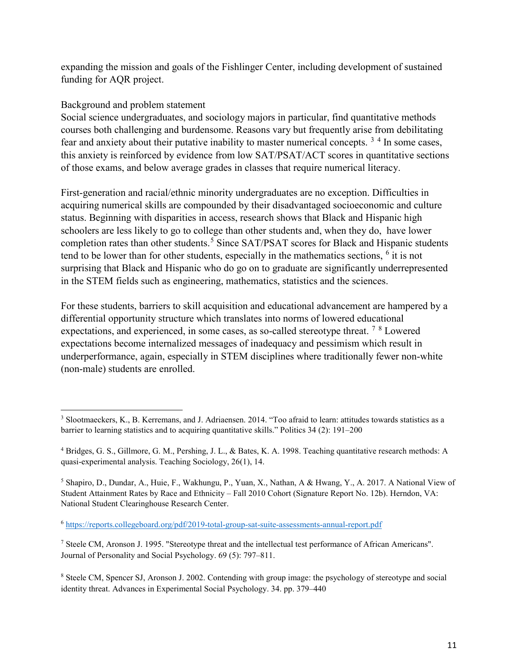expanding the mission and goals of the Fishlinger Center, including development of sustained funding for AQR project.

### Background and problem statement

 $\overline{a}$ 

Social science undergraduates, and sociology majors in particular, find quantitative methods courses both challenging and burdensome. Reasons vary but frequently arise from debilitating fear and anxiety about their putative inability to master numerical concepts.  $3<sup>4</sup>$  $3<sup>4</sup>$  $3<sup>4</sup>$  $3<sup>4</sup>$  In some cases, this anxiety is reinforced by evidence from low SAT/PSAT/ACT scores in quantitative sections of those exams, and below average grades in classes that require numerical literacy.

First-generation and racial/ethnic minority undergraduates are no exception. Difficulties in acquiring numerical skills are compounded by their disadvantaged socioeconomic and culture status. Beginning with disparities in access, research shows that Black and Hispanic high schoolers are less likely to go to college than other students and, when they do, have lower completion rates than other students.<sup>[5](#page-11-2)</sup> Since SAT/PSAT scores for Black and Hispanic students tend to be lower than for other students, especially in the mathematics sections,  $6$  it is not surprising that Black and Hispanic who do go on to graduate are significantly underrepresented in the STEM fields such as engineering, mathematics, statistics and the sciences.

For these students, barriers to skill acquisition and educational advancement are hampered by a differential opportunity structure which translates into norms of lowered educational expectations, and experienced, in some cases, as so-called stereotype threat. [7](#page-11-4) [8](#page-11-5) Lowered expectations become internalized messages of inadequacy and pessimism which result in underperformance, again, especially in STEM disciplines where traditionally fewer non-white (non-male) students are enrolled.

<span id="page-11-0"></span><sup>3</sup> Slootmaeckers, K., B. Kerremans, and J. Adriaensen. 2014. "Too afraid to learn: attitudes towards statistics as a barrier to learning statistics and to acquiring quantitative skills." Politics 34 (2): 191–200

<span id="page-11-1"></span><sup>4</sup> Bridges, G. S., Gillmore, G. M., Pershing, J. L., & Bates, K. A. 1998. Teaching quantitative research methods: A quasi-experimental analysis. Teaching Sociology, 26(1), 14.

<span id="page-11-2"></span><sup>5</sup> Shapiro, D., Dundar, A., Huie, F., Wakhungu, P., Yuan, X., Nathan, A & Hwang, Y., A. 2017. A National View of Student Attainment Rates by Race and Ethnicity – Fall 2010 Cohort (Signature Report No. 12b). Herndon, VA: National Student Clearinghouse Research Center.

<span id="page-11-3"></span><sup>6</sup> <https://reports.collegeboard.org/pdf/2019-total-group-sat-suite-assessments-annual-report.pdf>

<span id="page-11-4"></span><sup>7</sup> Steele CM, Aronson J. 1995. "Stereotype threat and the intellectual test performance of African Americans". Journal of Personality and Social Psychology. 69 (5): 797–811.

<span id="page-11-5"></span><sup>8</sup> Steele CM, Spencer SJ, Aronson J. 2002. Contending with group image: the psychology of stereotype and social identity threat. Advances in Experimental Social Psychology. 34. pp. 379–440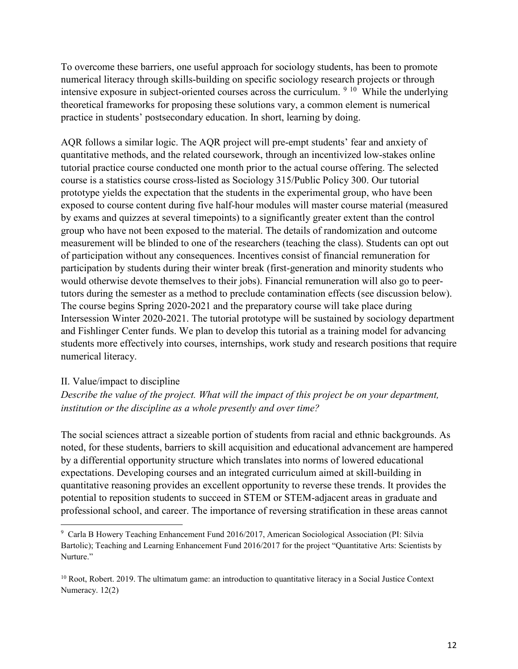To overcome these barriers, one useful approach for sociology students, has been to promote numerical literacy through skills-building on specific sociology research projects or through intensive exposure in subject-oriented courses across the curriculum. [9](#page-12-0) [10](#page-12-1) While the underlying theoretical frameworks for proposing these solutions vary, a common element is numerical practice in students' postsecondary education. In short, learning by doing.

AQR follows a similar logic. The AQR project will pre-empt students' fear and anxiety of quantitative methods, and the related coursework, through an incentivized low-stakes online tutorial practice course conducted one month prior to the actual course offering. The selected course is a statistics course cross-listed as Sociology 315/Public Policy 300. Our tutorial prototype yields the expectation that the students in the experimental group, who have been exposed to course content during five half-hour modules will master course material (measured by exams and quizzes at several timepoints) to a significantly greater extent than the control group who have not been exposed to the material. The details of randomization and outcome measurement will be blinded to one of the researchers (teaching the class). Students can opt out of participation without any consequences. Incentives consist of financial remuneration for participation by students during their winter break (first-generation and minority students who would otherwise devote themselves to their jobs). Financial remuneration will also go to peertutors during the semester as a method to preclude contamination effects (see discussion below). The course begins Spring 2020-2021 and the preparatory course will take place during Intersession Winter 2020-2021. The tutorial prototype will be sustained by sociology department and Fishlinger Center funds. We plan to develop this tutorial as a training model for advancing students more effectively into courses, internships, work study and research positions that require numerical literacy.

#### II. Value/impact to discipline

 $\overline{a}$ 

*Describe the value of the project. What will the impact of this project be on your department, institution or the discipline as a whole presently and over time?* 

The social sciences attract a sizeable portion of students from racial and ethnic backgrounds. As noted, for these students, barriers to skill acquisition and educational advancement are hampered by a differential opportunity structure which translates into norms of lowered educational expectations. Developing courses and an integrated curriculum aimed at skill-building in quantitative reasoning provides an excellent opportunity to reverse these trends. It provides the potential to reposition students to succeed in STEM or STEM-adjacent areas in graduate and professional school, and career. The importance of reversing stratification in these areas cannot

<span id="page-12-0"></span><sup>9</sup> Carla B Howery Teaching Enhancement Fund 2016/2017, American Sociological Association (PI: Silvia Bartolic); Teaching and Learning Enhancement Fund 2016/2017 for the project "Quantitative Arts: Scientists by Nurture."

<span id="page-12-1"></span><sup>&</sup>lt;sup>10</sup> Root, Robert. 2019. The ultimatum game: an introduction to quantitative literacy in a Social Justice Context Numeracy. 12(2)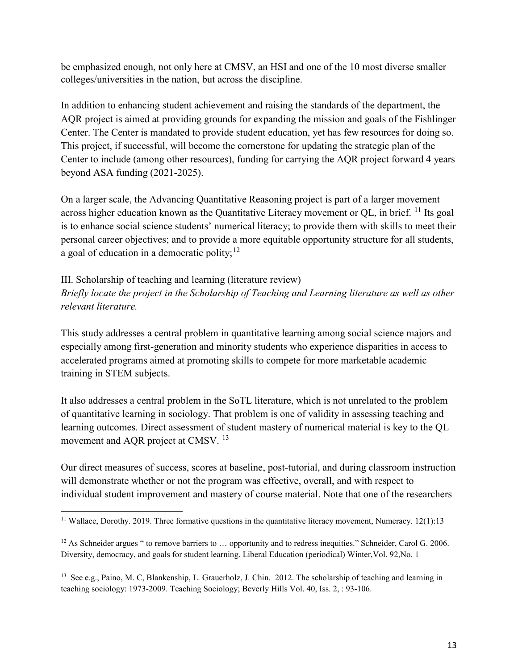be emphasized enough, not only here at CMSV, an HSI and one of the 10 most diverse smaller colleges/universities in the nation, but across the discipline.

In addition to enhancing student achievement and raising the standards of the department, the AQR project is aimed at providing grounds for expanding the mission and goals of the Fishlinger Center. The Center is mandated to provide student education, yet has few resources for doing so. This project, if successful, will become the cornerstone for updating the strategic plan of the Center to include (among other resources), funding for carrying the AQR project forward 4 years beyond ASA funding (2021-2025).

On a larger scale, the Advancing Quantitative Reasoning project is part of a larger movement across higher education known as the Quantitative Literacy movement or QL, in brief. <sup>[11](#page-13-0)</sup> Its goal is to enhance social science students' numerical literacy; to provide them with skills to meet their personal career objectives; and to provide a more equitable opportunity structure for all students, a goal of education in a democratic polity;  $12$ 

III. Scholarship of teaching and learning (literature review) *Briefly locate the project in the Scholarship of Teaching and Learning literature as well as other relevant literature.* 

This study addresses a central problem in quantitative learning among social science majors and especially among first-generation and minority students who experience disparities in access to accelerated programs aimed at promoting skills to compete for more marketable academic training in STEM subjects.

It also addresses a central problem in the SoTL literature, which is not unrelated to the problem of quantitative learning in sociology. That problem is one of validity in assessing teaching and learning outcomes. Direct assessment of student mastery of numerical material is key to the QL movement and AQR project at CMSV.<sup>[13](#page-13-2)</sup>

Our direct measures of success, scores at baseline, post-tutorial, and during classroom instruction will demonstrate whether or not the program was effective, overall, and with respect to individual student improvement and mastery of course material. Note that one of the researchers

 $\overline{\phantom{a}}$ 

<span id="page-13-0"></span><sup>&</sup>lt;sup>11</sup> Wallace, Dorothy. 2019. Three formative questions in the quantitative literacy movement, Numeracy. 12(1):13

<span id="page-13-1"></span><sup>&</sup>lt;sup>12</sup> As Schneider argues " to remove barriers to ... opportunity and to redress inequities." Schneider, Carol G. 2006. Diversity, democracy, and goals for student learning. Liberal Education (periodical) Winter,Vol. 92,No. 1

<span id="page-13-2"></span><sup>&</sup>lt;sup>13</sup> See e.g., Paino, M. C, Blankenship, L. Grauerholz, J. Chin. 2012. The scholarship of teaching and learning in teaching sociology: 1973-2009. Teaching Sociology; Beverly Hills Vol. 40, Iss. 2, : 93-106.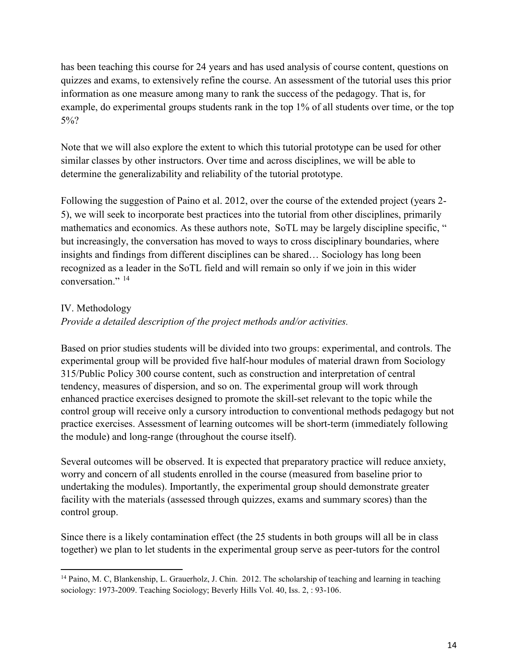has been teaching this course for 24 years and has used analysis of course content, questions on quizzes and exams, to extensively refine the course. An assessment of the tutorial uses this prior information as one measure among many to rank the success of the pedagogy. That is, for example, do experimental groups students rank in the top 1% of all students over time, or the top 5%?

Note that we will also explore the extent to which this tutorial prototype can be used for other similar classes by other instructors. Over time and across disciplines, we will be able to determine the generalizability and reliability of the tutorial prototype.

Following the suggestion of Paino et al. 2012, over the course of the extended project (years 2- 5), we will seek to incorporate best practices into the tutorial from other disciplines, primarily mathematics and economics. As these authors note, SoTL may be largely discipline specific, " but increasingly, the conversation has moved to ways to cross disciplinary boundaries, where insights and findings from different disciplines can be shared… Sociology has long been recognized as a leader in the SoTL field and will remain so only if we join in this wider conversation."<sup>[14](#page-14-0)</sup>

### IV. Methodology

l

### *Provide a detailed description of the project methods and/or activities.*

Based on prior studies students will be divided into two groups: experimental, and controls. The experimental group will be provided five half-hour modules of material drawn from Sociology 315/Public Policy 300 course content, such as construction and interpretation of central tendency, measures of dispersion, and so on. The experimental group will work through enhanced practice exercises designed to promote the skill-set relevant to the topic while the control group will receive only a cursory introduction to conventional methods pedagogy but not practice exercises. Assessment of learning outcomes will be short-term (immediately following the module) and long-range (throughout the course itself).

Several outcomes will be observed. It is expected that preparatory practice will reduce anxiety, worry and concern of all students enrolled in the course (measured from baseline prior to undertaking the modules). Importantly, the experimental group should demonstrate greater facility with the materials (assessed through quizzes, exams and summary scores) than the control group.

Since there is a likely contamination effect (the 25 students in both groups will all be in class together) we plan to let students in the experimental group serve as peer-tutors for the control

<span id="page-14-0"></span><sup>&</sup>lt;sup>14</sup> Paino, M. C, Blankenship, L. Grauerholz, J. Chin. 2012. The scholarship of teaching and learning in teaching sociology: 1973-2009. Teaching Sociology; Beverly Hills Vol. 40, Iss. 2, : 93-106.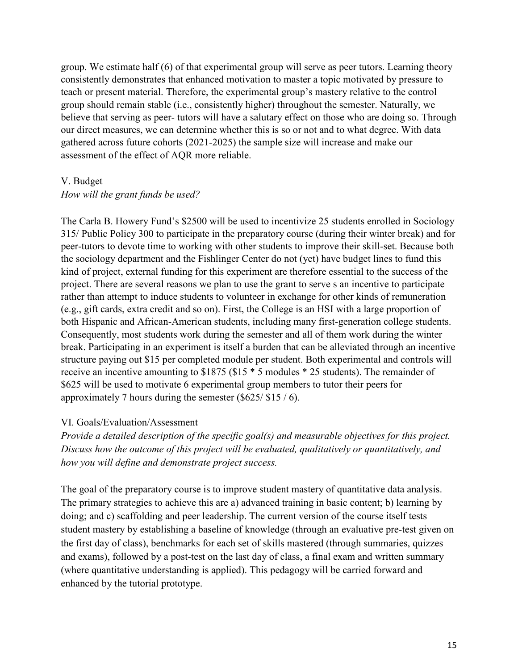group. We estimate half (6) of that experimental group will serve as peer tutors. Learning theory consistently demonstrates that enhanced motivation to master a topic motivated by pressure to teach or present material. Therefore, the experimental group's mastery relative to the control group should remain stable (i.e., consistently higher) throughout the semester. Naturally, we believe that serving as peer- tutors will have a salutary effect on those who are doing so. Through our direct measures, we can determine whether this is so or not and to what degree. With data gathered across future cohorts (2021-2025) the sample size will increase and make our assessment of the effect of AQR more reliable.

#### V. Budget

#### *How will the grant funds be used?*

The Carla B. Howery Fund's \$2500 will be used to incentivize 25 students enrolled in Sociology 315/ Public Policy 300 to participate in the preparatory course (during their winter break) and for peer-tutors to devote time to working with other students to improve their skill-set. Because both the sociology department and the Fishlinger Center do not (yet) have budget lines to fund this kind of project, external funding for this experiment are therefore essential to the success of the project. There are several reasons we plan to use the grant to serve s an incentive to participate rather than attempt to induce students to volunteer in exchange for other kinds of remuneration (e.g., gift cards, extra credit and so on). First, the College is an HSI with a large proportion of both Hispanic and African-American students, including many first-generation college students. Consequently, most students work during the semester and all of them work during the winter break. Participating in an experiment is itself a burden that can be alleviated through an incentive structure paying out \$15 per completed module per student. Both experimental and controls will receive an incentive amounting to \$1875 (\$15 \* 5 modules \* 25 students). The remainder of \$625 will be used to motivate 6 experimental group members to tutor their peers for approximately 7 hours during the semester (\$625/ \$15 / 6).

### VI. Goals/Evaluation/Assessment

*Provide a detailed description of the specific goal(s) and measurable objectives for this project. Discuss how the outcome of this project will be evaluated, qualitatively or quantitatively, and how you will define and demonstrate project success.* 

The goal of the preparatory course is to improve student mastery of quantitative data analysis. The primary strategies to achieve this are a) advanced training in basic content; b) learning by doing; and c) scaffolding and peer leadership. The current version of the course itself tests student mastery by establishing a baseline of knowledge (through an evaluative pre-test given on the first day of class), benchmarks for each set of skills mastered (through summaries, quizzes and exams), followed by a post-test on the last day of class, a final exam and written summary (where quantitative understanding is applied). This pedagogy will be carried forward and enhanced by the tutorial prototype.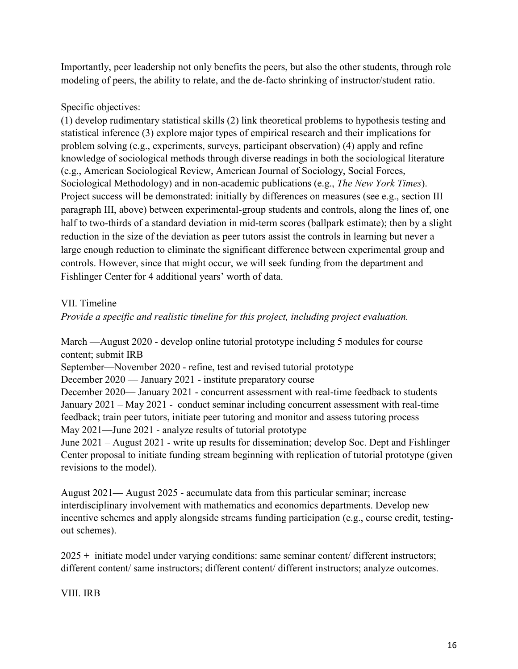Importantly, peer leadership not only benefits the peers, but also the other students, through role modeling of peers, the ability to relate, and the de-facto shrinking of instructor/student ratio.

# Specific objectives:

(1) develop rudimentary statistical skills (2) link theoretical problems to hypothesis testing and statistical inference (3) explore major types of empirical research and their implications for problem solving (e.g., experiments, surveys, participant observation) (4) apply and refine knowledge of sociological methods through diverse readings in both the sociological literature (e.g., American Sociological Review, American Journal of Sociology, Social Forces, Sociological Methodology) and in non-academic publications (e.g., *The New York Times*). Project success will be demonstrated: initially by differences on measures (see e.g., section III paragraph III, above) between experimental-group students and controls, along the lines of, one half to two-thirds of a standard deviation in mid-term scores (ballpark estimate); then by a slight reduction in the size of the deviation as peer tutors assist the controls in learning but never a large enough reduction to eliminate the significant difference between experimental group and controls. However, since that might occur, we will seek funding from the department and Fishlinger Center for 4 additional years' worth of data.

### VII. Timeline

*Provide a specific and realistic timeline for this project, including project evaluation.*

March —August 2020 - develop online tutorial prototype including 5 modules for course content; submit IRB

September—November 2020 - refine, test and revised tutorial prototype

December 2020 — January 2021 - institute preparatory course

December 2020— January 2021 - concurrent assessment with real-time feedback to students January 2021 – May 2021 - conduct seminar including concurrent assessment with real-time feedback; train peer tutors, initiate peer tutoring and monitor and assess tutoring process May 2021—June 2021 - analyze results of tutorial prototype

June 2021 – August 2021 - write up results for dissemination; develop Soc. Dept and Fishlinger Center proposal to initiate funding stream beginning with replication of tutorial prototype (given revisions to the model).

August 2021— August 2025 - accumulate data from this particular seminar; increase interdisciplinary involvement with mathematics and economics departments. Develop new incentive schemes and apply alongside streams funding participation (e.g., course credit, testingout schemes).

 $2025 +$  initiate model under varying conditions: same seminar content/ different instructors; different content/ same instructors; different content/ different instructors; analyze outcomes.

VIII. IRB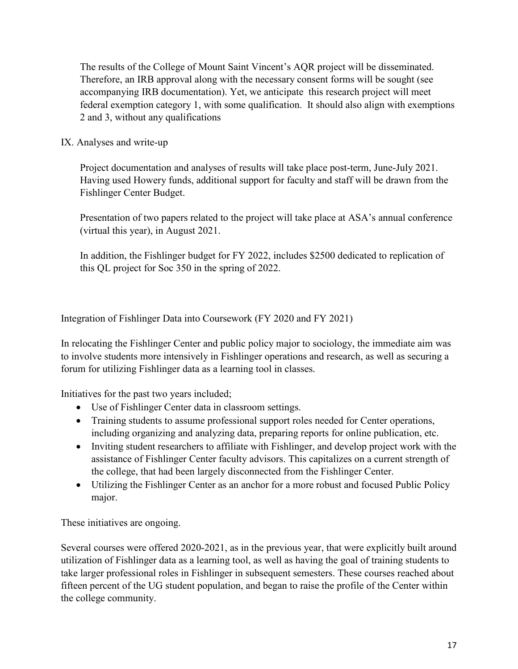The results of the College of Mount Saint Vincent's AQR project will be disseminated. Therefore, an IRB approval along with the necessary consent forms will be sought (see accompanying IRB documentation). Yet, we anticipate this research project will meet federal exemption category 1, with some qualification. It should also align with exemptions 2 and 3, without any qualifications

### IX. Analyses and write-up

Project documentation and analyses of results will take place post-term, June-July 2021. Having used Howery funds, additional support for faculty and staff will be drawn from the Fishlinger Center Budget.

Presentation of two papers related to the project will take place at ASA's annual conference (virtual this year), in August 2021.

In addition, the Fishlinger budget for FY 2022, includes \$2500 dedicated to replication of this QL project for Soc 350 in the spring of 2022.

Integration of Fishlinger Data into Coursework (FY 2020 and FY 2021)

In relocating the Fishlinger Center and public policy major to sociology, the immediate aim was to involve students more intensively in Fishlinger operations and research, as well as securing a forum for utilizing Fishlinger data as a learning tool in classes.

Initiatives for the past two years included;

- Use of Fishlinger Center data in classroom settings.
- Training students to assume professional support roles needed for Center operations, including organizing and analyzing data, preparing reports for online publication, etc.
- Inviting student researchers to affiliate with Fishlinger, and develop project work with the assistance of Fishlinger Center faculty advisors. This capitalizes on a current strength of the college, that had been largely disconnected from the Fishlinger Center.
- Utilizing the Fishlinger Center as an anchor for a more robust and focused Public Policy major.

These initiatives are ongoing.

Several courses were offered 2020-2021, as in the previous year, that were explicitly built around utilization of Fishlinger data as a learning tool, as well as having the goal of training students to take larger professional roles in Fishlinger in subsequent semesters. These courses reached about fifteen percent of the UG student population, and began to raise the profile of the Center within the college community.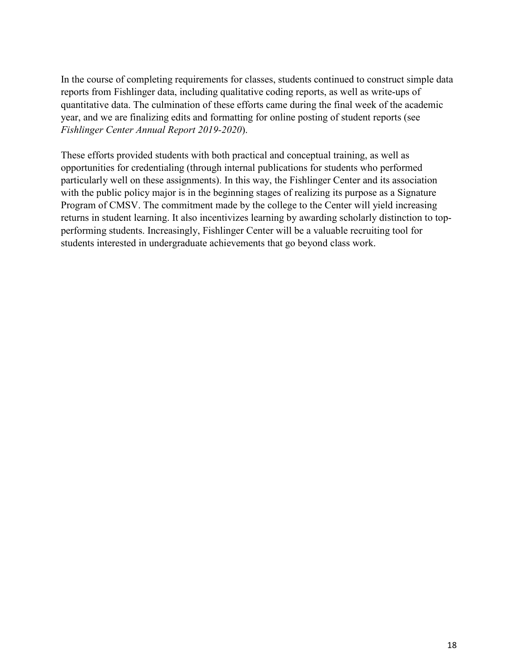In the course of completing requirements for classes, students continued to construct simple data reports from Fishlinger data, including qualitative coding reports, as well as write-ups of quantitative data. The culmination of these efforts came during the final week of the academic year, and we are finalizing edits and formatting for online posting of student reports (see *Fishlinger Center Annual Report 2019-2020*).

These efforts provided students with both practical and conceptual training, as well as opportunities for credentialing (through internal publications for students who performed particularly well on these assignments). In this way, the Fishlinger Center and its association with the public policy major is in the beginning stages of realizing its purpose as a Signature Program of CMSV. The commitment made by the college to the Center will yield increasing returns in student learning. It also incentivizes learning by awarding scholarly distinction to topperforming students. Increasingly, Fishlinger Center will be a valuable recruiting tool for students interested in undergraduate achievements that go beyond class work.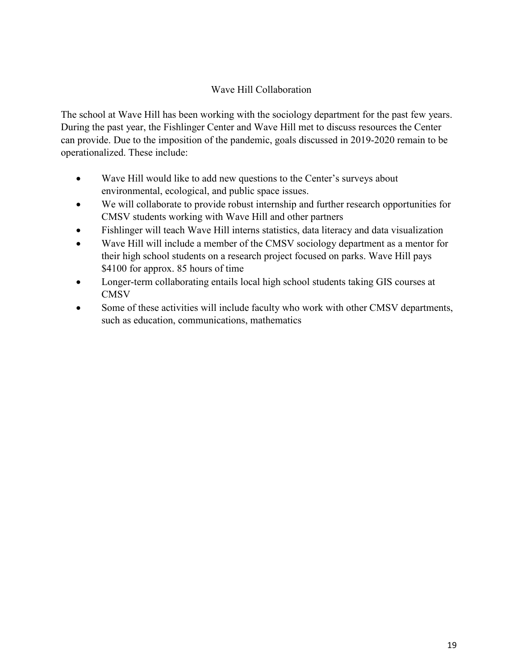## <span id="page-19-0"></span>Wave Hill Collaboration

The school at Wave Hill has been working with the sociology department for the past few years. During the past year, the Fishlinger Center and Wave Hill met to discuss resources the Center can provide. Due to the imposition of the pandemic, goals discussed in 2019-2020 remain to be operationalized. These include:

- Wave Hill would like to add new questions to the Center's surveys about environmental, ecological, and public space issues.
- We will collaborate to provide robust internship and further research opportunities for CMSV students working with Wave Hill and other partners
- Fishlinger will teach Wave Hill interns statistics, data literacy and data visualization
- Wave Hill will include a member of the CMSV sociology department as a mentor for their high school students on a research project focused on parks. Wave Hill pays \$4100 for approx. 85 hours of time
- Longer-term collaborating entails local high school students taking GIS courses at **CMSV**
- Some of these activities will include faculty who work with other CMSV departments, such as education, communications, mathematics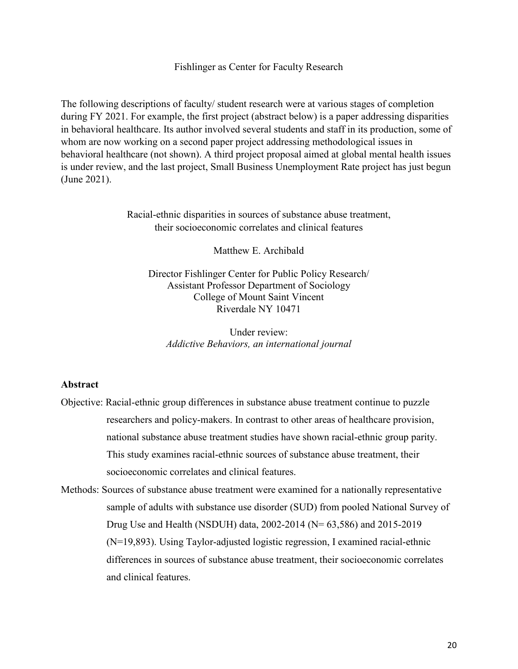Fishlinger as Center for Faculty Research

<span id="page-20-0"></span>The following descriptions of faculty/ student research were at various stages of completion during FY 2021. For example, the first project (abstract below) is a paper addressing disparities in behavioral healthcare. Its author involved several students and staff in its production, some of whom are now working on a second paper project addressing methodological issues in behavioral healthcare (not shown). A third project proposal aimed at global mental health issues is under review, and the last project, Small Business Unemployment Rate project has just begun (June 2021).

> <span id="page-20-1"></span>Racial-ethnic disparities in sources of substance abuse treatment, their socioeconomic correlates and clinical features

> > Matthew E. Archibald

Director Fishlinger Center for Public Policy Research/ Assistant Professor Department of Sociology College of Mount Saint Vincent Riverdale NY 10471

Under review: *Addictive Behaviors, an international journal*

#### **Abstract**

- Objective: Racial-ethnic group differences in substance abuse treatment continue to puzzle researchers and policy-makers. In contrast to other areas of healthcare provision, national substance abuse treatment studies have shown racial-ethnic group parity. This study examines racial-ethnic sources of substance abuse treatment, their socioeconomic correlates and clinical features.
- Methods: Sources of substance abuse treatment were examined for a nationally representative sample of adults with substance use disorder (SUD) from pooled National Survey of Drug Use and Health (NSDUH) data, 2002-2014 (N= 63,586) and 2015-2019 (N=19,893). Using Taylor-adjusted logistic regression, I examined racial-ethnic differences in sources of substance abuse treatment, their socioeconomic correlates and clinical features.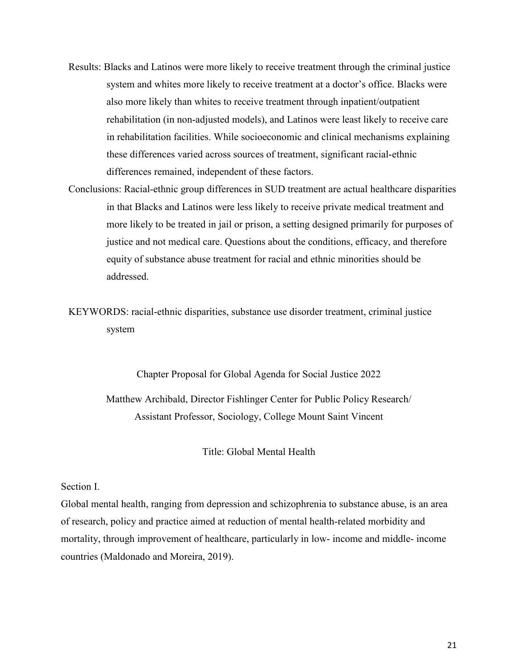- Results: Blacks and Latinos were more likely to receive treatment through the criminal justice system and whites more likely to receive treatment at a doctor's office. Blacks were also more likely than whites to receive treatment through inpatient/outpatient rehabilitation (in non-adjusted models), and Latinos were least likely to receive care in rehabilitation facilities. While socioeconomic and clinical mechanisms explaining these differences varied across sources of treatment, significant racial-ethnic differences remained, independent of these factors.
- Conclusions: Racial-ethnic group differences in SUD treatment are actual healthcare disparities in that Blacks and Latinos were less likely to receive private medical treatment and more likely to be treated in jail or prison, a setting designed primarily for purposes of justice and not medical care. Questions about the conditions, efficacy, and therefore equity of substance abuse treatment for racial and ethnic minorities should be addressed.

KEYWORDS: racial-ethnic disparities, substance use disorder treatment, criminal justice system

> <span id="page-21-0"></span>Chapter Proposal for Global Agenda for Social Justice 2022 Matthew Archibald, Director Fishlinger Center for Public Policy Research/ Assistant Professor, Sociology, College Mount Saint Vincent

> > Title: Global Mental Health

#### Section I.

Global mental health, ranging from depression and schizophrenia to substance abuse, is an area of research, policy and practice aimed at reduction of mental health-related morbidity and mortality, through improvement of healthcare, particularly in low- income and middle- income countries (Maldonado and Moreira, 2019).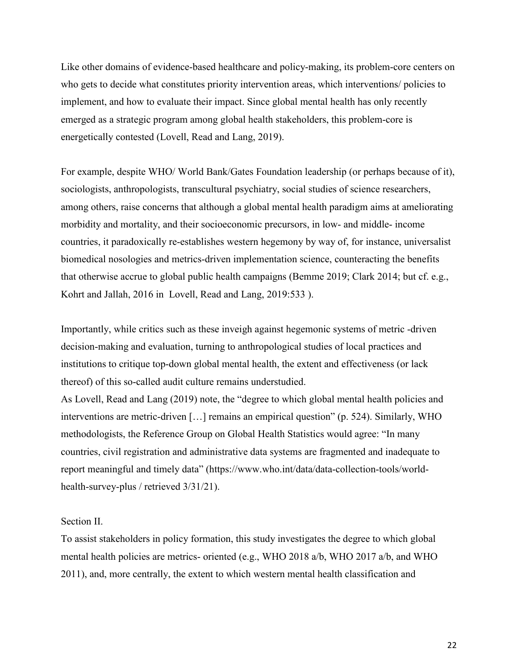Like other domains of evidence-based healthcare and policy-making, its problem-core centers on who gets to decide what constitutes priority intervention areas, which interventions/ policies to implement, and how to evaluate their impact. Since global mental health has only recently emerged as a strategic program among global health stakeholders, this problem-core is energetically contested (Lovell, Read and Lang, 2019).

For example, despite WHO/ World Bank/Gates Foundation leadership (or perhaps because of it), sociologists, anthropologists, transcultural psychiatry, social studies of science researchers, among others, raise concerns that although a global mental health paradigm aims at ameliorating morbidity and mortality, and their socioeconomic precursors, in low- and middle- income countries, it paradoxically re-establishes western hegemony by way of, for instance, universalist biomedical nosologies and metrics-driven implementation science, counteracting the benefits that otherwise accrue to global public health campaigns (Bemme 2019; Clark 2014; but cf. e.g., Kohrt and Jallah, 2016 in Lovell, Read and Lang, 2019:533 ).

Importantly, while critics such as these inveigh against hegemonic systems of metric -driven decision-making and evaluation, turning to anthropological studies of local practices and institutions to critique top-down global mental health, the extent and effectiveness (or lack thereof) of this so-called audit culture remains understudied.

As Lovell, Read and Lang (2019) note, the "degree to which global mental health policies and interventions are metric-driven […] remains an empirical question" (p. 524). Similarly, WHO methodologists, the Reference Group on Global Health Statistics would agree: "In many countries, civil registration and administrative data systems are fragmented and inadequate to report meaningful and timely data" (https://www.who.int/data/data-collection-tools/worldhealth-survey-plus / retrieved 3/31/21).

#### Section II.

To assist stakeholders in policy formation, this study investigates the degree to which global mental health policies are metrics- oriented (e.g., WHO 2018 a/b, WHO 2017 a/b, and WHO 2011), and, more centrally, the extent to which western mental health classification and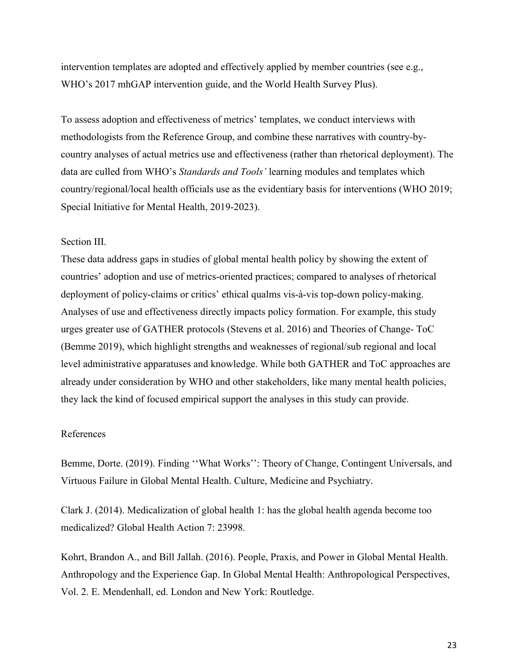intervention templates are adopted and effectively applied by member countries (see e.g., WHO's 2017 mhGAP intervention guide, and the World Health Survey Plus).

To assess adoption and effectiveness of metrics' templates, we conduct interviews with methodologists from the Reference Group, and combine these narratives with country-bycountry analyses of actual metrics use and effectiveness (rather than rhetorical deployment). The data are culled from WHO's *Standards and Tools'* learning modules and templates which country/regional/local health officials use as the evidentiary basis for interventions (WHO 2019; Special Initiative for Mental Health, 2019-2023).

#### Section III.

These data address gaps in studies of global mental health policy by showing the extent of countries' adoption and use of metrics-oriented practices; compared to analyses of rhetorical deployment of policy-claims or critics' ethical qualms vis-à-vis top-down policy-making. Analyses of use and effectiveness directly impacts policy formation. For example, this study urges greater use of GATHER protocols (Stevens et al. 2016) and Theories of Change- ToC (Bemme 2019), which highlight strengths and weaknesses of regional/sub regional and local level administrative apparatuses and knowledge. While both GATHER and ToC approaches are already under consideration by WHO and other stakeholders, like many mental health policies, they lack the kind of focused empirical support the analyses in this study can provide.

#### References

Bemme, Dorte. (2019). Finding ''What Works'': Theory of Change, Contingent Universals, and Virtuous Failure in Global Mental Health. Culture, Medicine and Psychiatry.

Clark J. (2014). Medicalization of global health 1: has the global health agenda become too medicalized? Global Health Action 7: 23998.

Kohrt, Brandon A., and Bill Jallah. (2016). People, Praxis, and Power in Global Mental Health. Anthropology and the Experience Gap. In Global Mental Health: Anthropological Perspectives, Vol. 2. E. Mendenhall, ed. London and New York: Routledge.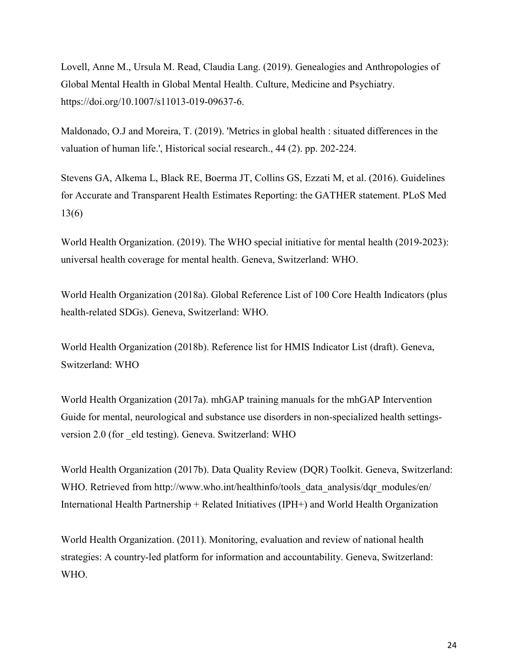Lovell, Anne M., Ursula M. Read, Claudia Lang. (2019). Genealogies and Anthropologies of Global Mental Health in Global Mental Health. Culture, Medicine and Psychiatry. https://doi.org/10.1007/s11013-019-09637-6.

Maldonado, O.J and Moreira, T. (2019). 'Metrics in global health : situated differences in the valuation of human life.', Historical social research., 44 (2). pp. 202-224.

Stevens GA, Alkema L, Black RE, Boerma JT, Collins GS, Ezzati M, et al. (2016). Guidelines for Accurate and Transparent Health Estimates Reporting: the GATHER statement. PLoS Med 13(6)

World Health Organization. (2019). The WHO special initiative for mental health (2019-2023): universal health coverage for mental health. Geneva, Switzerland: WHO.

World Health Organization (2018a). Global Reference List of 100 Core Health Indicators (plus health-related SDGs). Geneva, Switzerland: WHO.

World Health Organization (2018b). Reference list for HMIS Indicator List (draft). Geneva, Switzerland: WHO

World Health Organization (2017a). mhGAP training manuals for the mhGAP Intervention Guide for mental, neurological and substance use disorders in non-specialized health settingsversion 2.0 (for eld testing). Geneva. Switzerland: WHO

World Health Organization (2017b). Data Quality Review (DQR) Toolkit. Geneva, Switzerland: WHO. Retrieved from http://www.who.int/healthinfo/tools\_data\_analysis/dqr\_modules/en/ International Health Partnership + Related Initiatives (IPH+) and World Health Organization

World Health Organization. (2011). Monitoring, evaluation and review of national health strategies: A country-led platform for information and accountability. Geneva, Switzerland: WHO.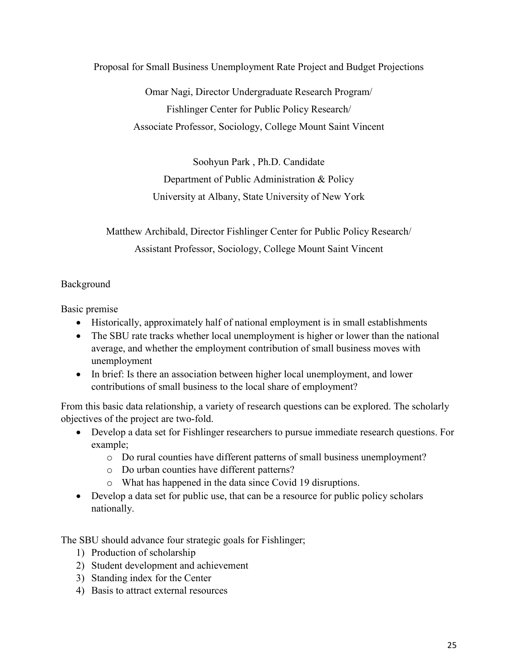<span id="page-25-0"></span>Proposal for Small Business Unemployment Rate Project and Budget Projections

Omar Nagi, Director Undergraduate Research Program/ Fishlinger Center for Public Policy Research/ Associate Professor, Sociology, College Mount Saint Vincent

Soohyun Park , Ph.D. Candidate Department of Public Administration & Policy University at Albany, State University of New York

Matthew Archibald, Director Fishlinger Center for Public Policy Research/ Assistant Professor, Sociology, College Mount Saint Vincent

### Background

Basic premise

- Historically, approximately half of national employment is in small establishments
- The SBU rate tracks whether local unemployment is higher or lower than the national average, and whether the employment contribution of small business moves with unemployment
- In brief: Is there an association between higher local unemployment, and lower contributions of small business to the local share of employment?

From this basic data relationship, a variety of research questions can be explored. The scholarly objectives of the project are two-fold.

- Develop a data set for Fishlinger researchers to pursue immediate research questions. For example;
	- o Do rural counties have different patterns of small business unemployment?
	- o Do urban counties have different patterns?
	- o What has happened in the data since Covid 19 disruptions.
- Develop a data set for public use, that can be a resource for public policy scholars nationally.

The SBU should advance four strategic goals for Fishlinger;

- 1) Production of scholarship
- 2) Student development and achievement
- 3) Standing index for the Center
- 4) Basis to attract external resources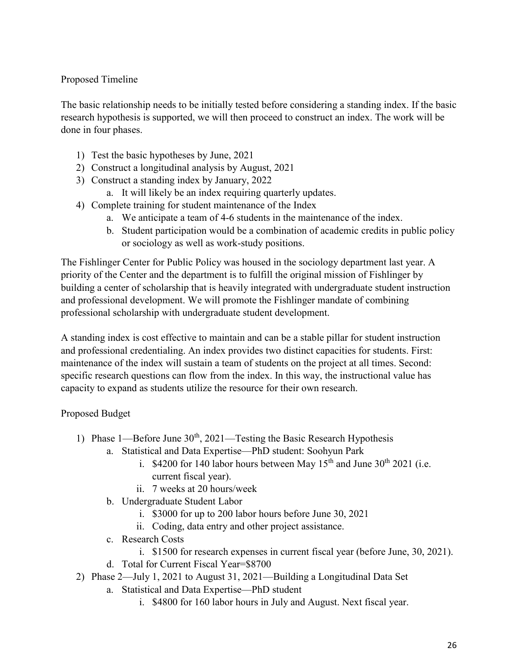# Proposed Timeline

The basic relationship needs to be initially tested before considering a standing index. If the basic research hypothesis is supported, we will then proceed to construct an index. The work will be done in four phases.

- 1) Test the basic hypotheses by June, 2021
- 2) Construct a longitudinal analysis by August, 2021
- 3) Construct a standing index by January, 2022
	- a. It will likely be an index requiring quarterly updates.
- 4) Complete training for student maintenance of the Index
	- a. We anticipate a team of 4-6 students in the maintenance of the index.
	- b. Student participation would be a combination of academic credits in public policy or sociology as well as work-study positions.

The Fishlinger Center for Public Policy was housed in the sociology department last year. A priority of the Center and the department is to fulfill the original mission of Fishlinger by building a center of scholarship that is heavily integrated with undergraduate student instruction and professional development. We will promote the Fishlinger mandate of combining professional scholarship with undergraduate student development.

A standing index is cost effective to maintain and can be a stable pillar for student instruction and professional credentialing. An index provides two distinct capacities for students. First: maintenance of the index will sustain a team of students on the project at all times. Second: specific research questions can flow from the index. In this way, the instructional value has capacity to expand as students utilize the resource for their own research.

Proposed Budget

- 1) Phase 1—Before June  $30<sup>th</sup>$ , 2021—Testing the Basic Research Hypothesis
	- a. Statistical and Data Expertise—PhD student: Soohyun Park
		- i. \$4200 for 140 labor hours between May  $15<sup>th</sup>$  and June  $30<sup>th</sup>$  2021 (i.e. current fiscal year).
		- ii. 7 weeks at 20 hours/week
	- b. Undergraduate Student Labor
		- i. \$3000 for up to 200 labor hours before June 30, 2021
		- ii. Coding, data entry and other project assistance.
	- c. Research Costs
		- i. \$1500 for research expenses in current fiscal year (before June, 30, 2021).
	- d. Total for Current Fiscal Year=\$8700
- 2) Phase 2—July 1, 2021 to August 31, 2021—Building a Longitudinal Data Set
	- a. Statistical and Data Expertise—PhD student
		- i. \$4800 for 160 labor hours in July and August. Next fiscal year.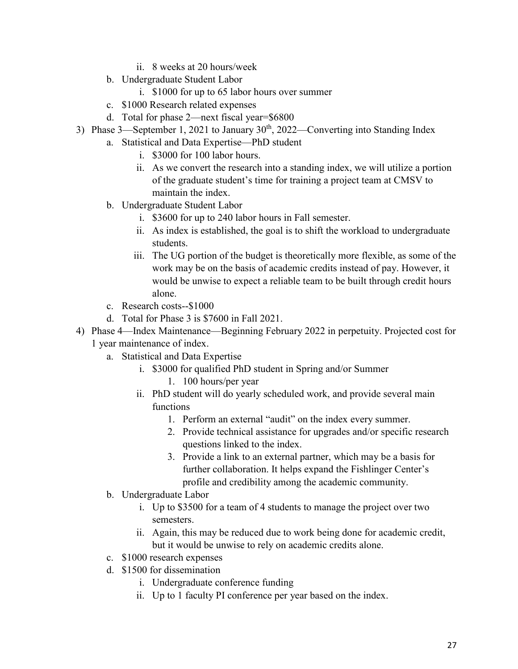- ii. 8 weeks at 20 hours/week
- b. Undergraduate Student Labor
	- i. \$1000 for up to 65 labor hours over summer
- c. \$1000 Research related expenses
- d. Total for phase 2—next fiscal year=\$6800
- 3) Phase 3—September 1, 2021 to January  $30<sup>th</sup>$ , 2022—Converting into Standing Index
	- a. Statistical and Data Expertise—PhD student
		- i. \$3000 for 100 labor hours.
		- ii. As we convert the research into a standing index, we will utilize a portion of the graduate student's time for training a project team at CMSV to maintain the index.
	- b. Undergraduate Student Labor
		- i. \$3600 for up to 240 labor hours in Fall semester.
		- ii. As index is established, the goal is to shift the workload to undergraduate students.
		- iii. The UG portion of the budget is theoretically more flexible, as some of the work may be on the basis of academic credits instead of pay. However, it would be unwise to expect a reliable team to be built through credit hours alone.
	- c. Research costs--\$1000
	- d. Total for Phase 3 is \$7600 in Fall 2021.
- 4) Phase 4—Index Maintenance—Beginning February 2022 in perpetuity. Projected cost for 1 year maintenance of index.
	- a. Statistical and Data Expertise
		- i. \$3000 for qualified PhD student in Spring and/or Summer
			- 1. 100 hours/per year
		- ii. PhD student will do yearly scheduled work, and provide several main functions
			- 1. Perform an external "audit" on the index every summer.
			- 2. Provide technical assistance for upgrades and/or specific research questions linked to the index.
			- 3. Provide a link to an external partner, which may be a basis for further collaboration. It helps expand the Fishlinger Center's profile and credibility among the academic community.
	- b. Undergraduate Labor
		- i. Up to \$3500 for a team of 4 students to manage the project over two semesters.
		- ii. Again, this may be reduced due to work being done for academic credit, but it would be unwise to rely on academic credits alone.
	- c. \$1000 research expenses
	- d. \$1500 for dissemination
		- i. Undergraduate conference funding
		- ii. Up to 1 faculty PI conference per year based on the index.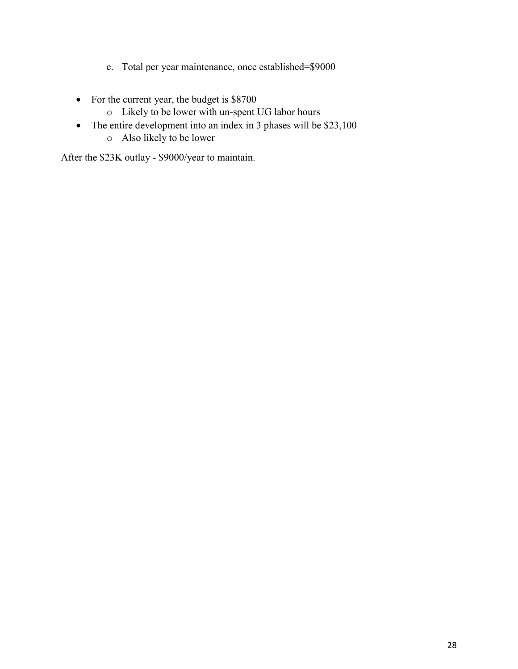- e. Total per year maintenance, once established=\$9000
- For the current year, the budget is \$8700
	- o Likely to be lower with un-spent UG labor hours
- The entire development into an index in 3 phases will be \$23,100
	- o Also likely to be lower

After the \$23K outlay - \$9000/year to maintain.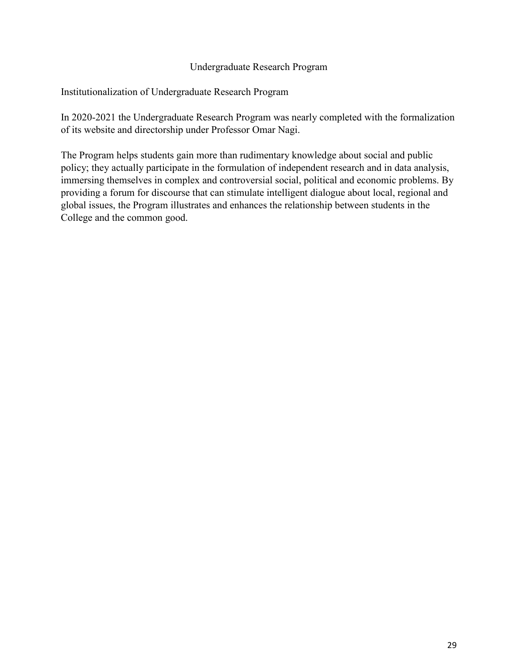#### Undergraduate Research Program

### <span id="page-29-0"></span>Institutionalization of Undergraduate Research Program

In 2020-2021 the Undergraduate Research Program was nearly completed with the formalization of its website and directorship under Professor Omar Nagi.

The Program helps students gain more than rudimentary knowledge about social and public policy; they actually participate in the formulation of independent research and in data analysis, immersing themselves in complex and controversial social, political and economic problems. By providing a forum for discourse that can stimulate intelligent dialogue about local, regional and global issues, the Program illustrates and enhances the relationship between students in the College and the common good.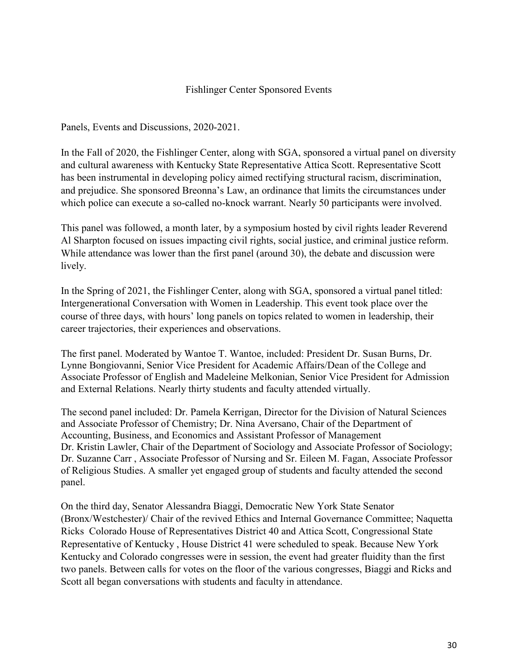#### Fishlinger Center Sponsored Events

<span id="page-30-0"></span>Panels, Events and Discussions, 2020-2021.

In the Fall of 2020, the Fishlinger Center, along with SGA, sponsored a virtual panel on diversity and cultural awareness with Kentucky State Representative Attica Scott. Representative Scott has been instrumental in developing policy aimed rectifying structural racism, discrimination, and prejudice. She sponsored Breonna's Law, an ordinance that limits the circumstances under which police can execute a so-called no-knock warrant. Nearly 50 participants were involved.

This panel was followed, a month later, by a symposium hosted by civil rights leader Reverend Al Sharpton focused on issues impacting civil rights, social justice, and criminal justice reform. While attendance was lower than the first panel (around 30), the debate and discussion were lively.

In the Spring of 2021, the Fishlinger Center, along with SGA, sponsored a virtual panel titled: Intergenerational Conversation with Women in Leadership. This event took place over the course of three days, with hours' long panels on topics related to women in leadership, their career trajectories, their experiences and observations.

The first panel. Moderated by Wantoe T. Wantoe, included: President Dr. Susan Burns, Dr. Lynne Bongiovanni, Senior Vice President for Academic Affairs/Dean of the College and Associate Professor of English and Madeleine Melkonian, Senior Vice President for Admission and External Relations. Nearly thirty students and faculty attended virtually.

The second panel included: Dr. Pamela Kerrigan, Director for the Division of Natural Sciences and Associate Professor of Chemistry; Dr. Nina Aversano, Chair of the Department of Accounting, Business, and Economics and Assistant Professor of Management Dr. Kristin Lawler, Chair of the Department of Sociology and Associate Professor of Sociology; Dr. Suzanne Carr , Associate Professor of Nursing and Sr. Eileen M. Fagan, Associate Professor of Religious Studies. A smaller yet engaged group of students and faculty attended the second panel.

On the third day, Senator Alessandra Biaggi, Democratic New York State Senator (Bronx/Westchester)/ Chair of the revived Ethics and Internal Governance Committee; Naquetta Ricks Colorado House of Representatives District 40 and Attica Scott, Congressional State Representative of Kentucky , House District 41 were scheduled to speak. Because New York Kentucky and Colorado congresses were in session, the event had greater fluidity than the first two panels. Between calls for votes on the floor of the various congresses, Biaggi and Ricks and Scott all began conversations with students and faculty in attendance.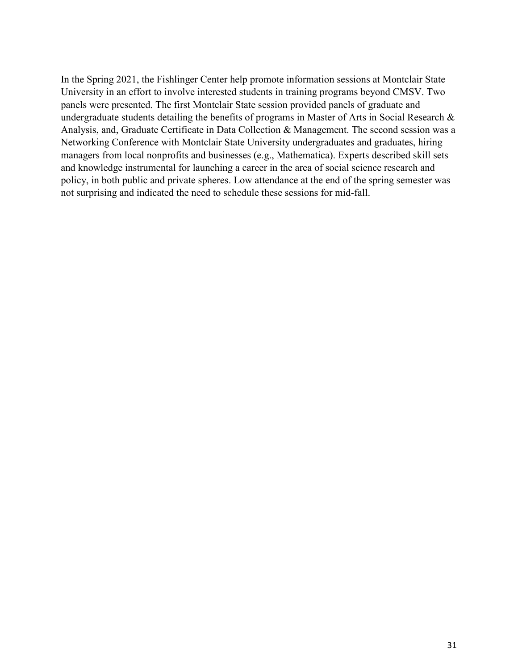In the Spring 2021, the Fishlinger Center help promote information sessions at Montclair State University in an effort to involve interested students in training programs beyond CMSV. Two panels were presented. The first Montclair State session provided panels of graduate and undergraduate students detailing the benefits of programs in [Master of Arts in Social Research &](https://www.montclair.edu/sociology/graduate-programs/ma-in-social-research-and-analysis/)  [Analysis,](https://www.montclair.edu/sociology/graduate-programs/ma-in-social-research-and-analysis/) and, [Graduate Certificate in Data Collection & Management.](https://www.montclair.edu/sociology/graduate-programs/ma-in-social-research-and-analysis/graduate-certificate-in-data-collection-and-management/) The second session was a Networking Conference with Montclair State University undergraduates and graduates, hiring managers from local nonprofits and businesses (e.g., Mathematica). Experts described skill sets and knowledge instrumental for launching a career in the area of social science research and policy, in both public and private spheres. Low attendance at the end of the spring semester was not surprising and indicated the need to schedule these sessions for mid-fall.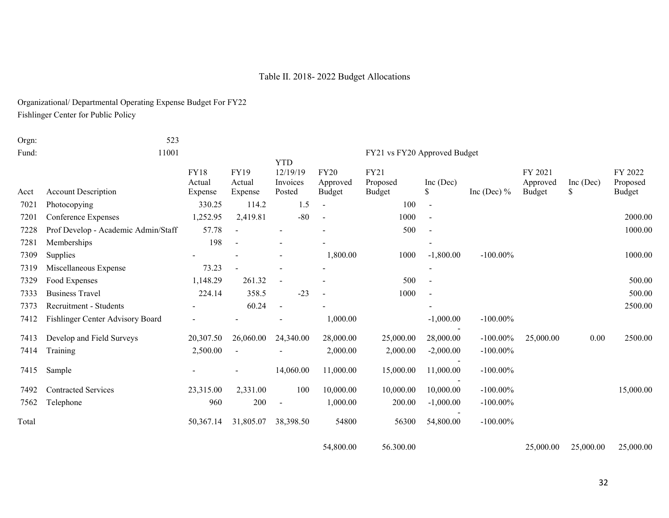### Table II. 2018- 2022 Budget Allocations

Organizational/ Departmental Operating Expense Budget For FY22

Fishlinger Center for Public Policy

<span id="page-32-0"></span>

| Orgn: | 523                                 |                                  |                                  |                                              |                                   |                                   |                          |               |                                      |                |                               |
|-------|-------------------------------------|----------------------------------|----------------------------------|----------------------------------------------|-----------------------------------|-----------------------------------|--------------------------|---------------|--------------------------------------|----------------|-------------------------------|
| Fund: | 11001                               |                                  |                                  |                                              |                                   | FY21 vs FY20 Approved Budget      |                          |               |                                      |                |                               |
| Acct  | <b>Account Description</b>          | <b>FY18</b><br>Actual<br>Expense | <b>FY19</b><br>Actual<br>Expense | <b>YTD</b><br>12/19/19<br>Invoices<br>Posted | <b>FY20</b><br>Approved<br>Budget | <b>FY21</b><br>Proposed<br>Budget | Inc $(Dec)$<br>S         | Inc (Dec) $%$ | FY 2021<br>Approved<br><b>Budget</b> | Inc (Dec)<br>S | FY 2022<br>Proposed<br>Budget |
| 7021  | Photocopying                        | 330.25                           | 114.2                            | 1.5                                          | $\overline{\phantom{a}}$          | 100                               | $\overline{\phantom{a}}$ |               |                                      |                |                               |
| 7201  | Conference Expenses                 | 1,252.95                         | 2,419.81                         | $-80$                                        |                                   | 1000                              |                          |               |                                      |                | 2000.00                       |
| 7228  | Prof Develop - Academic Admin/Staff | 57.78                            |                                  |                                              |                                   | 500                               | $\blacksquare$           |               |                                      |                | 1000.00                       |
| 7281  | Memberships                         | 198                              |                                  |                                              |                                   |                                   |                          |               |                                      |                |                               |
| 7309  | Supplies                            |                                  |                                  |                                              | 1,800.00                          | 1000                              | $-1,800.00$              | $-100.00\%$   |                                      |                | 1000.00                       |
| 7319  | Miscellaneous Expense               | 73.23                            |                                  |                                              |                                   |                                   |                          |               |                                      |                |                               |
| 7329  | Food Expenses                       | 1,148.29                         | 261.32                           |                                              |                                   | 500                               |                          |               |                                      |                | 500.00                        |
| 7333  | <b>Business Travel</b>              | 224.14                           | 358.5                            | $-23$                                        |                                   | 1000                              | $\blacksquare$           |               |                                      |                | 500.00                        |
| 7373  | Recruitment - Students              |                                  | 60.24                            | $\blacksquare$                               |                                   |                                   |                          |               |                                      |                | 2500.00                       |
| 7412  | Fishlinger Center Advisory Board    |                                  |                                  |                                              | 1,000.00                          |                                   | $-1,000.00$              | $-100.00\%$   |                                      |                |                               |
| 7413  | Develop and Field Surveys           | 20,307.50                        | 26,060.00                        | 24,340.00                                    | 28,000.00                         | 25,000.00                         | 28,000.00                | $-100.00\%$   | 25,000.00                            | 0.00           | 2500.00                       |
| 7414  | Training                            | 2,500.00                         |                                  |                                              | 2,000.00                          | 2,000.00                          | $-2,000.00$              | $-100.00\%$   |                                      |                |                               |
| 7415  | Sample                              |                                  |                                  | 14,060.00                                    | 11,000.00                         | 15,000.00                         | 11,000.00                | $-100.00\%$   |                                      |                |                               |
| 7492  | <b>Contracted Services</b>          | 23,315.00                        | 2,331.00                         | 100                                          | 10,000.00                         | 10,000.00                         | 10,000.00                | $-100.00\%$   |                                      |                | 15,000.00                     |
| 7562  | Telephone                           | 960                              | 200                              |                                              | 1,000.00                          | 200.00                            | $-1,000.00$              | $-100.00\%$   |                                      |                |                               |
| Total |                                     | 50,367.14                        | 31,805.07                        | 38,398.50                                    | 54800                             | 56300                             | 54,800.00                | $-100.00\%$   |                                      |                |                               |
|       |                                     |                                  |                                  |                                              |                                   |                                   |                          |               |                                      |                |                               |

54,800.00 56.300.00 25,000.00 25,000.00 25,000.00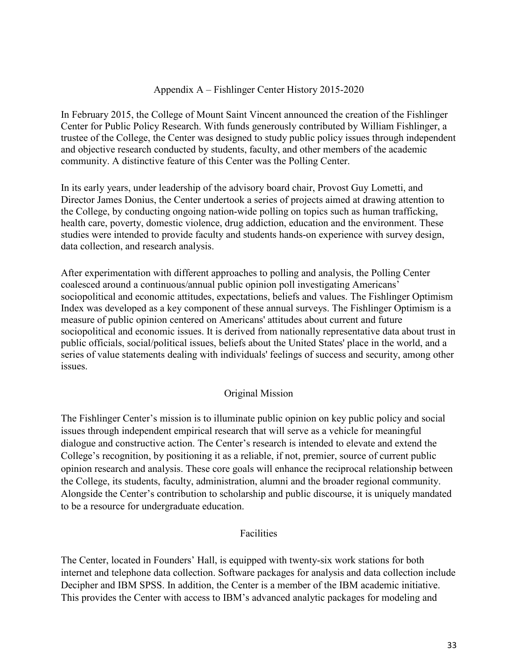#### Appendix A – Fishlinger Center History 2015-2020

<span id="page-33-0"></span>In February 2015, the College of Mount Saint Vincent announced the creation of the Fishlinger Center for Public Policy Research. With funds generously contributed by William Fishlinger, a trustee of the College, the Center was designed to study public policy issues through independent and objective research conducted by students, faculty, and other members of the academic community. A distinctive feature of this Center was the Polling Center.

In its early years, under leadership of the advisory board chair, Provost Guy Lometti, and Director James Donius, the Center undertook a series of projects aimed at drawing attention to the College, by conducting ongoing nation-wide polling on topics such as human trafficking, health care, poverty, domestic violence, drug addiction, education and the environment. These studies were intended to provide faculty and students hands-on experience with survey design, data collection, and research analysis.

After experimentation with different approaches to polling and analysis, the Polling Center coalesced around a continuous/annual public opinion poll investigating Americans' sociopolitical and economic attitudes, expectations, beliefs and values. The Fishlinger Optimism Index was developed as a key component of these annual surveys. The Fishlinger Optimism is a measure of public opinion centered on Americans' attitudes about current and future sociopolitical and economic issues. It is derived from nationally representative data about trust in public officials, social/political issues, beliefs about the United States' place in the world, and a series of value statements dealing with individuals' feelings of success and security, among other issues.

#### Original Mission

<span id="page-33-1"></span>The Fishlinger Center's mission is to illuminate public opinion on key public policy and social issues through independent empirical research that will serve as a vehicle for meaningful dialogue and constructive action. The Center's research is intended to elevate and extend the College's recognition, by positioning it as a reliable, if not, premier, source of current public opinion research and analysis. These core goals will enhance the reciprocal relationship between the College, its students, faculty, administration, alumni and the broader regional community. Alongside the Center's contribution to scholarship and public discourse, it is uniquely mandated to be a resource for undergraduate education.

#### Facilities

<span id="page-33-2"></span>The Center, located in Founders' Hall, is equipped with twenty-six work stations for both internet and telephone data collection. Software packages for analysis and data collection include Decipher and IBM SPSS. In addition, the Center is a member of the IBM academic initiative. This provides the Center with access to IBM's advanced analytic packages for modeling and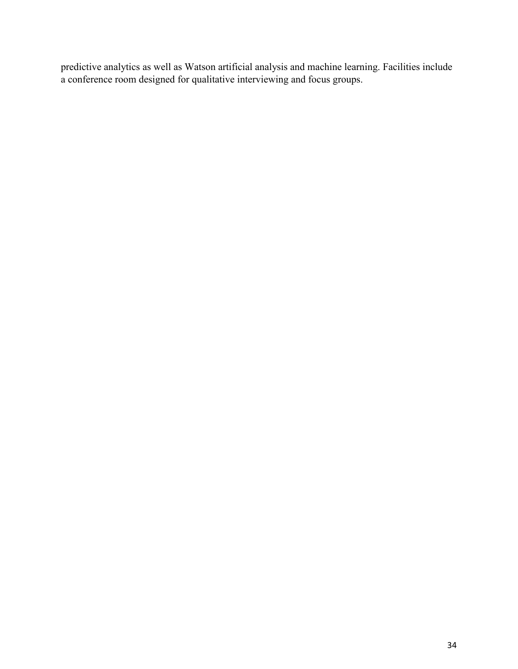predictive analytics as well as Watson artificial analysis and machine learning. Facilities include a conference room designed for qualitative interviewing and focus groups.